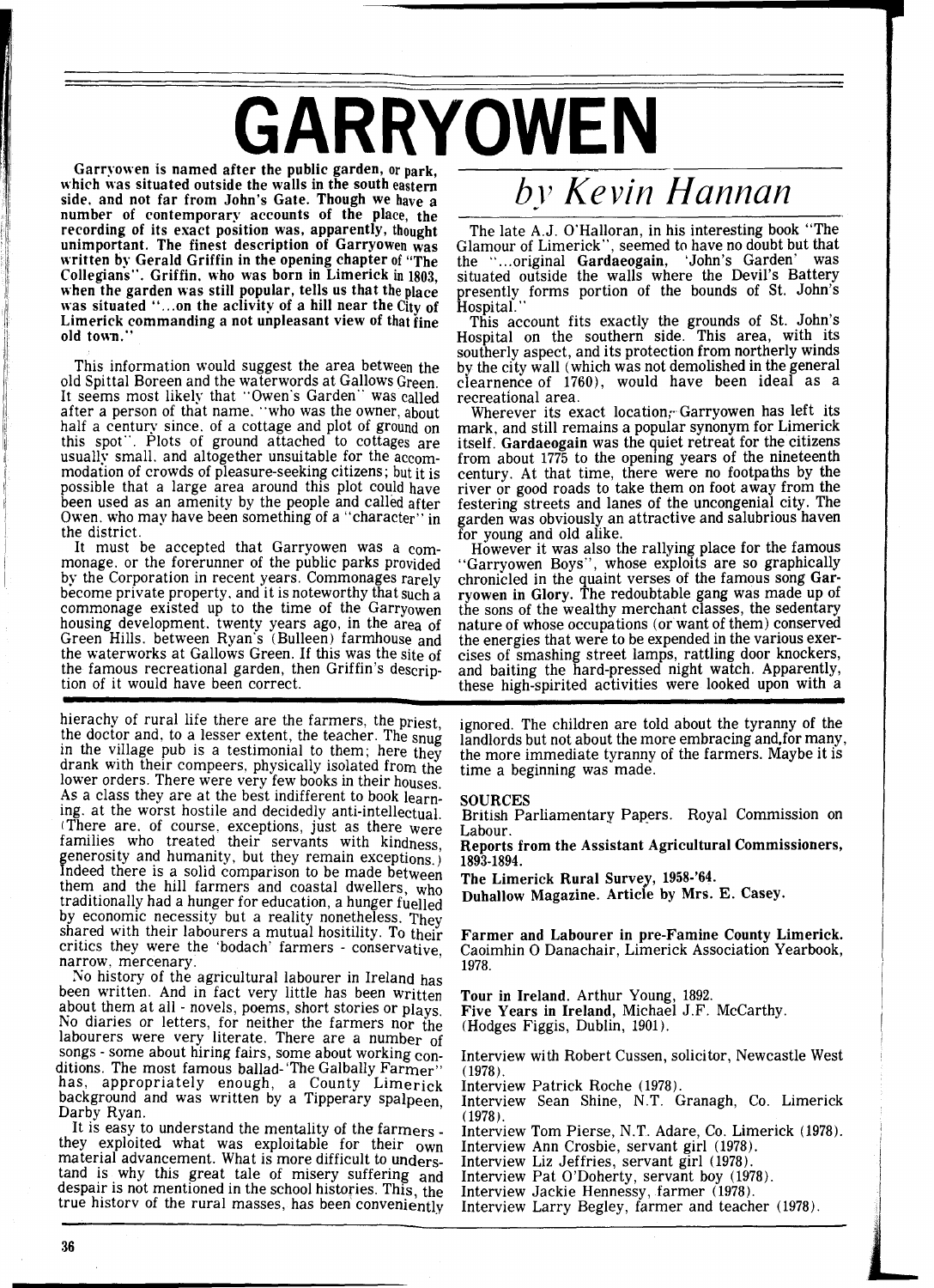## GARRYOWEN

which was situated outside the walls in the south eastern side, and not far from John's Gate. Though we have a number of contemporary accounts of the place, the recording of its exact position was, apparently, thought unimportant. The finest description of Garryowen was written by Gerald Griffin in the opening chapter of ''The Collegians". Griffin. who was born in Limerick in 1803, when the garden was still popular, tells us that the place was situated "...on the aclivity of a hill near the City of Limerick commanding a not unpleasant view of that fine old town."

This information would suggest the area between the old Spittal Boreen and the waterwords at Gallows Green. It seems most likely that "Owen's Garden" was called after a person of that name. "who was the owner, about half a century since. of a cottage and plot of ground on this spot". Plots of ground attached to cottages are usually small, and altogether unsuitable for the accommodation of crowds of pleasure-seeking citizens; but it is possible that a large area around this plot could have been used as an amenity by the people and called after Owen. who may have been something of a "character" in the district.

It must be accepted that Garryowen was a commonage. or the forerunner of the public parks provided by the Corporation in recent years. Commonages rarely become private property. and it is noteworthy that such a commonage existed up to the time of the Garryowen housing development. twenty years ago, in the area of Green Hills. between Ryan's (Bulleen) farmhouse and the waterworks at Gallows Green. If this was the site of the famous recreational garden, then Griffin's description of it would have been correct.

hierachy of rural life there are the farmers, the priest, the doctor and, to a lesser extent, the teacher. The snug in the village pub is a testimonial to them; here they drank with their compeers, physically isolated from the lower orders. There were very few books in their houses. As a class they are at the best indifferent to book learning. at the worst hostile and decidedly anti-intellectual. There are. of course, exceptions, just as there were families who treated their servants with kindness. generosity and humanity, but they remain exceptions.) Indeed there is a solid comparison to be made between Indeed there is a solid comparison to be made between them and the hill farmers and coastal dwellers, who traditionally had a hunger for education, a hunger fuelled<br>by economic necessity but a reality nonetheless. They shared with their labourers a mutual hositility. To their critics they were the 'bodach' farmers - conservative, narrow, mercenary.

No history of the agricultural labourer in Ireland has been written. And in fact very little has been written about them at all - novels, poems, short stories or plays. about them at all - novels, poems, short stories or plays.<br>No diaries or letters, for neither the farmers nor the labourers were very literate. There are a number of songs - some about hiring fairs, some about working conditions. The most famous ballad-'The Galbally Farmer" has, appropriately enough, a County Limerick background and was written by a Tipperary spalpeen Darby Ryan.

It is easy to understand the mentality of the farmers - they exploited what was exploitable for their own material advancement. What is more difficult to understand is why this great tale of misery suffering and despair is not mentioned in the school histories. This, the true historv of the rural masses, has been conveniently

## *bj~ Kevin Hannan*

The late A.J. O'Halloran, in his interesting book "The Glamour of Limerick", seemed to have no doubt but that<br>the "criginal Gardaeogain" 'John's Garden' was the "...original Gardaeogain, 'John's Garden' situated outside the walls where the Devil's Battery presently forms portion of the bounds of St. John's Hospital.

This account fits exactly the grounds of St. John's Hospital on the southern side. This area, with its southerly aspect, and its protection from northerly winds by the city wall (which was not demolished in the general clearnence of 1760), would have been ideal as a recreational area.

Wherever its exact location, Garryowen has left its mark, and still remains a popular synonym for Limerick itself. Gardaeogain was the quiet retreat for the citizens from about 1775 to the opening years of the nineteenth century. At that time, there were no footpaths by the river or good roads to take them on foot away from the festering streets and lanes of the uncongenial city. The garden was obviously an attractive and salubrious haven for young and old alike.

However it was also the rallying place for the famous<br>"Garryowen Boys", whose exploits are so graphically "Garryowen Boys", whose exploits are so graphically chronicled in the quaint verses of the famous song Garryowen in Glory. The redoubtable gang was made up of the sons of the wealthy merchant classes, the sedentary nature of whose occupations (or want of them) conserved the energies that were to be expended in the various exercises of smashing street lamps, rattling door knockers, and baiting the hard-pressed night watch. Apparently, these high-spirited activities were looked upon with a

ignored. The children are told about the tyranny of the landlords but not about the more embracing and, for many, the more immediate tyranny of the farmers. Maybe it is time a beginning was made.

## SOURCES

British Parliamentary Papers. Royal Commission on Labour.

Reports from the Assistant Agricultural Commissioners, 1893-1894.

The Limerick Rural Survey, 1958-'64.

Duhallow Magazine. Article by Mrs. E. Casey.

Farmer and Labourer in pre-Famine County Limerick. Caoimhin 0 Danachair, Limerick Association Yearbook, 1978.

Tour in Ireland. Arthur Young, 1892. Five Years in Ireland, Michael J.F. McCarthy. (Hodges Figgis, Dublin, 1901).

Interview with Robert Cussen, solicitor, Newcastle West ( 1978).

Interview Patrick Roche (1978).

Interview Sean Shine, N.T. Granagh, Co. Limerick (1978).

Interview Tom Pierse, N.T. Adare, Co. Limerick (1978).

Interview Ann Crosbie, servant girl (1978). Interview Liz Jeffries, servant girl (1978).

Interview Pat O'Doherty, servant boy (1978).

Interview Jackie Hennessy, farmer (1978).

Interview Larry Begley, farmer and teacher (1978).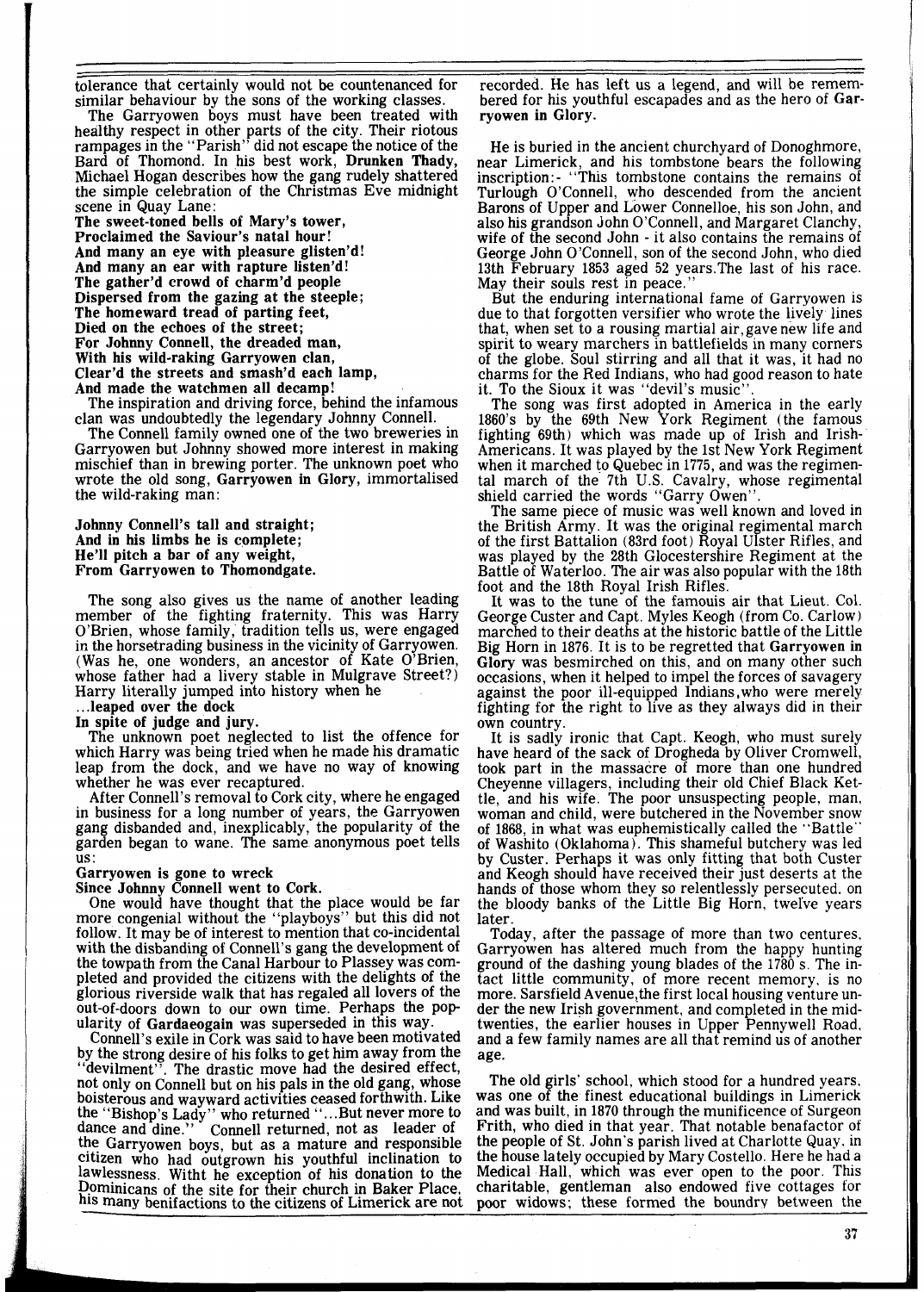tolerance that certainly would not be countenanced for similar behaviour by the sons of the working classes.

The Garryowen boys must have been treated with healthy respect in other parts of the city. Their riotous rampages in the "Parish" did not escape the notice of the Bard of Thomond. In his best work, Drunken Thady, Michael Hogan describes how the gang rudely shattered the simple celebration of the Christmas Eve midnight scene in Quay Lane:

The sweet-toned bells of Mary's tower, Proclaimed the Saviour's natal hour! And many an eye with pleasure glisten'd! And many an ear with rapture listen'd! The gather'd crowd of charm'd people Dispersed from the gazing at the steeple; The homeward tread of parting feet, Died on the echoes of the street; For Johnny Connell, the dreaded man, With his wild-raking Garryowen clan, Clear'd the streets and smash'd each lamp, And made the watchmen all decamp!

The inspiration and driving force, behind the infamous clan was undoubtedly the legendary Johnny Connell.

The Connell family owned one of the two breweries in Garryowen but Johnny showed more interest in making mischief than in brewing porter. The unknown poet who wrote the old song, Garryowen in Glory, immortalised the wild-raking man:

Johnny Connell's tall and straight; And in his limbs he is complete; He'll pitch a bar of any weight, From Garryowen to Thomondgate.

The song also gives us the name of another leading member of the fighting fraternity. This was Harry O'Brien, whose family, tradition tells us, were engaged in the horsetrading business in the vicinity of Garryowen. (Was he, one wonders, an ancestor of Kate O'Brien, whose father had a livery stable in Mulgrave Street?) Harry literally jumped into history when he ... leaped over the dock

In spite of judge and jury.

The unknown poet neglected to list the offence for which Harry was being tried when he made his dramatic leap from the dock, and we have no way of knowing whether he was ever recaptured.

After Connell's removal to Cork city, where he engaged in business for a long number of years, the Garryowen gang disbanded and, inexplicably, the popularity of the garden began to wane. The same anonymous poet tells US :

Garryowen is gone to wreck

Since Johnny Connell went to Cork.

One would have thought that the place would be far more congenial without the "playboys" but this did not follow. It may be of interest to mention that co-incidental with the disbanding of Connell's gang the development of the towpath from the Canal Harbour to Plassey was completed and provided the citizens with the delights of the glorious riverside walk that has regaled all lovers of the out-of-doors down to our own time. Perhaps the pop ularity of Gardaeogain was superseded in this way.

Connell's exile in Cork was said to have been motivated by the strong desire of his folks to get him away from the "devilment". The drastic move had the desired effect, . The drastic move had the desired effect, not only on Connell but on his pals in the old gang, whose bolsterous and wayward activities ceased forthwith. Llke the "Bishop's Lady" who returned "...But never more to dance and dine." Connell returned, not as leader of the Garryowen boys, but as a mature and responsible citizen who had outgrown his youthful inclination to lawlessness. Witht he exception of his donation to the Dominicans of the site for their church in Baker Place, his many benifactions to the citizens of Limerick are not recorded. He has left us a legend, and will be remembered for his youthful escapades and as the hero of Garryowen in Glory.

He is buried in the ancient churchyard of Donoghmore, near Limerick, and his tombstone bears the following inscription: - "This tombstone contains the remains of Turlough O'Connell, who descended from the ancient Barons of Upper and Lower Connelloe, his son John, and also his grandson John O'Connell, and Margaret Clanchy, wife of the second John - it also contains the remains of George John O'Connell, son of the second John, who died 13th February 1853 aged 52 years.The last of his race. May their souls rest in peace.'

But the enduring international fame of Garryowen is due to that forgotten versifier who wrote the lively lines that, when set to a rousing martial air,gave new life and spirit to weary marchers in battlefields in many corners of the globe. Soul stirring and all that it was, it had no charms for the Red Indians, who had good reason to hate it. To the Sioux it was "devil's music".

The song was first adopted in America in the early 1860's by the 69th New York Regiment (the famous fighting 69th) which was made up of Irish and Irish-Americans. It was played by the 1st New York Regiment when it marched to Quebec in 1775, and was the regimental march of the 7th U.S. Cavalry, whose regimental shield carried the words "Garry Owen".

The same piece of music was well known and loved in the British Army. It was the original regimental march of the first Battalion (83rd foot) Royal Ulster Rifles, and was played by the 28th Glocestershire Regiment at the Battle of Waterloo. The air was also popular with the 18th foot and the 18th Royal Irish Rifles.

It was to the tune of the famouis air that Lieut. Col. George Custer and Capt. Myles Keogh (from Co. Carlow) marched to their deaths at the historic battle of the Little Big Horn in 1876. It is to be regretted that Garryowen in Glory was besmirched on this, and on many other such occasions, when it helped to impel the forces of savagery against the poor ill-equipped Indians, who were merely fighting for the right to live as they always did in their own country.

It is sadly ironic that Capt. Keogh, who must surely have heard of the sack of Drogheda by Oliver Cromwell, took part in the massacre of more than one hundred Cheyenne villagers, including their old Chief Black Kettle, and his wife. The poor unsuspecting people, man, woman and child, were butchered in the November snow of 1868, in what was euphemistically called the "Battle" of Washito (Oklahoma). This shameful butchery was led by Custer. Perhaps it was only fitting that both Custer and Keogh should have received their just deserts at the hands of those whom they so relentlessly persecuted. on the bloody banks of the Little Big Horn, twel've years **later** 

Today, after the passage of more than two centures, Garryowen has altered much from the happy hunting ground of the dashing young blades of the 1780 S. The intact little community, of more recent memory, is no more. Sarsfield Avenue,the first local housing venture under the new Irish government, and completed in the midtwenties, the earlier houses in Upper Pennywell Road, and a few family names are all that remind us of another age.

The old girls' school, which stood for a hundred years. was one of the finest educational buildings in Limerick and was built, in 1870 through the munificence of Surgeon Frith, who died in that year. That notable benafactor of the people of St. John's parish lived at Charlotte Quay. in the house lately occupied by Mary Costello. Here he had a Medical Hall, which was ever open to the poor. This charitable, gentleman also endowed five cottages for poor widows; these formed the boundry between the